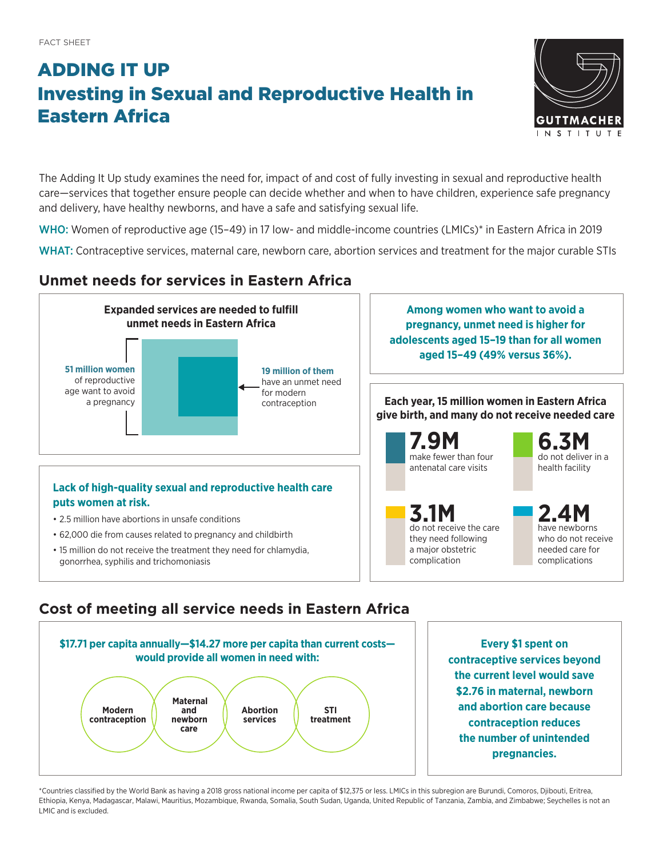# ADDING IT UP Investing in Sexual and Reproductive Health in Eastern Africa



The Adding It Up study examines the need for, impact of and cost of fully investing in sexual and reproductive health care—services that together ensure people can decide whether and when to have children, experience safe pregnancy and delivery, have healthy newborns, and have a safe and satisfying sexual life.

WHO: Women of reproductive age (15–49) in 17 low- and middle-income countries (LMICs)\* in Eastern Africa in 2019

WHAT: Contraceptive services, maternal care, newborn care, abortion services and treatment for the major curable STIs

## **Unmet needs for services in Eastern Africa**



### **Cost of meeting all service needs in Eastern Africa**



**Every \$1 spent on contraceptive services beyond the current level would save \$2.76 in maternal, newborn and abortion care because contraception reduces the number of unintended pregnancies.**

\*Countries classified by the World Bank as having a 2018 gross national income per capita of \$12,375 or less. LMICs in this subregion are Burundi, Comoros, Djibouti, Eritrea, Ethiopia, Kenya, Madagascar, Malawi, Mauritius, Mozambique, Rwanda, Somalia, South Sudan, Uganda, United Republic of Tanzania, Zambia, and Zimbabwe; Seychelles is not an LMIC and is excluded.